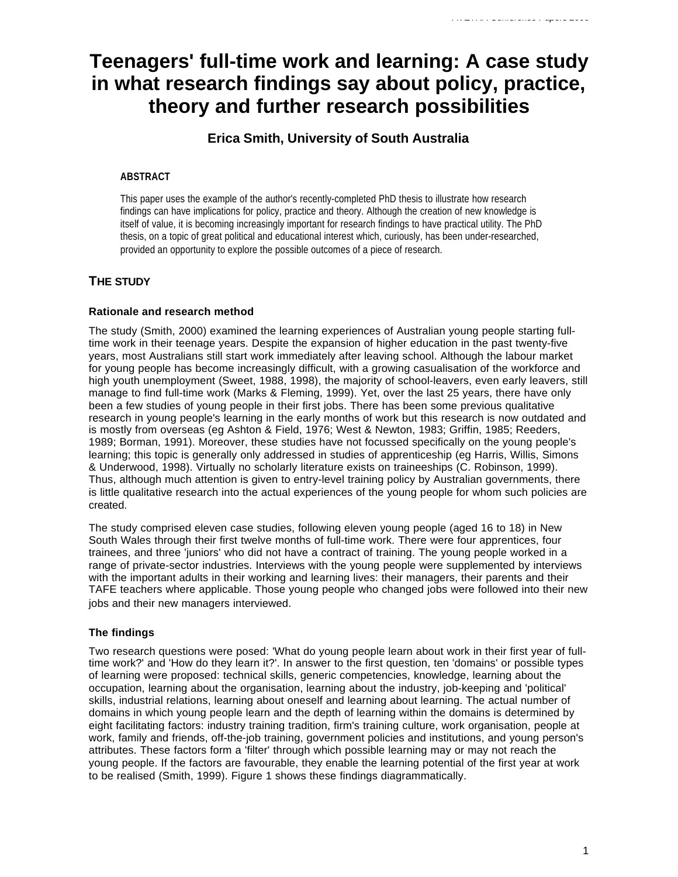# **Teenagers' full-time work and learning: A case study in what research findings say about policy, practice, theory and further research possibilities**

# **Erica Smith, University of South Australia**

# **ABSTRACT**

This paper uses the example of the author's recently-completed PhD thesis to illustrate how research findings can have implications for policy, practice and theory. Although the creation of new knowledge is itself of value, it is becoming increasingly important for research findings to have practical utility. The PhD thesis, on a topic of great political and educational interest which, curiously, has been under-researched, provided an opportunity to explore the possible outcomes of a piece of research.

# **THE STUDY**

# **Rationale and research method**

The study (Smith, 2000) examined the learning experiences of Australian young people starting fulltime work in their teenage years. Despite the expansion of higher education in the past twenty-five years, most Australians still start work immediately after leaving school. Although the labour market for young people has become increasingly difficult, with a growing casualisation of the workforce and high youth unemployment (Sweet, 1988, 1998), the majority of school-leavers, even early leavers, still manage to find full-time work (Marks & Fleming, 1999). Yet, over the last 25 years, there have only been a few studies of young people in their first jobs. There has been some previous qualitative research in young people's learning in the early months of work but this research is now outdated and is mostly from overseas (eg Ashton & Field, 1976; West & Newton, 1983; Griffin, 1985; Reeders, 1989; Borman, 1991). Moreover, these studies have not focussed specifically on the young people's learning; this topic is generally only addressed in studies of apprenticeship (eg Harris, Willis, Simons & Underwood, 1998). Virtually no scholarly literature exists on traineeships (C. Robinson, 1999). Thus, although much attention is given to entry-level training policy by Australian governments, there is little qualitative research into the actual experiences of the young people for whom such policies are created.

The study comprised eleven case studies, following eleven young people (aged 16 to 18) in New South Wales through their first twelve months of full-time work. There were four apprentices, four trainees, and three 'juniors' who did not have a contract of training. The young people worked in a range of private-sector industries. Interviews with the young people were supplemented by interviews with the important adults in their working and learning lives: their managers, their parents and their TAFE teachers where applicable. Those young people who changed jobs were followed into their new jobs and their new managers interviewed.

# **The findings**

Two research questions were posed: 'What do young people learn about work in their first year of fulltime work?' and 'How do they learn it?'. In answer to the first question, ten 'domains' or possible types of learning were proposed: technical skills, generic competencies, knowledge, learning about the occupation, learning about the organisation, learning about the industry, job-keeping and 'political' skills, industrial relations, learning about oneself and learning about learning. The actual number of domains in which young people learn and the depth of learning within the domains is determined by eight facilitating factors: industry training tradition, firm's training culture, work organisation, people at work, family and friends, off-the-job training, government policies and institutions, and young person's attributes. These factors form a 'filter' through which possible learning may or may not reach the young people. If the factors are favourable, they enable the learning potential of the first year at work to be realised (Smith, 1999). Figure 1 shows these findings diagrammatically.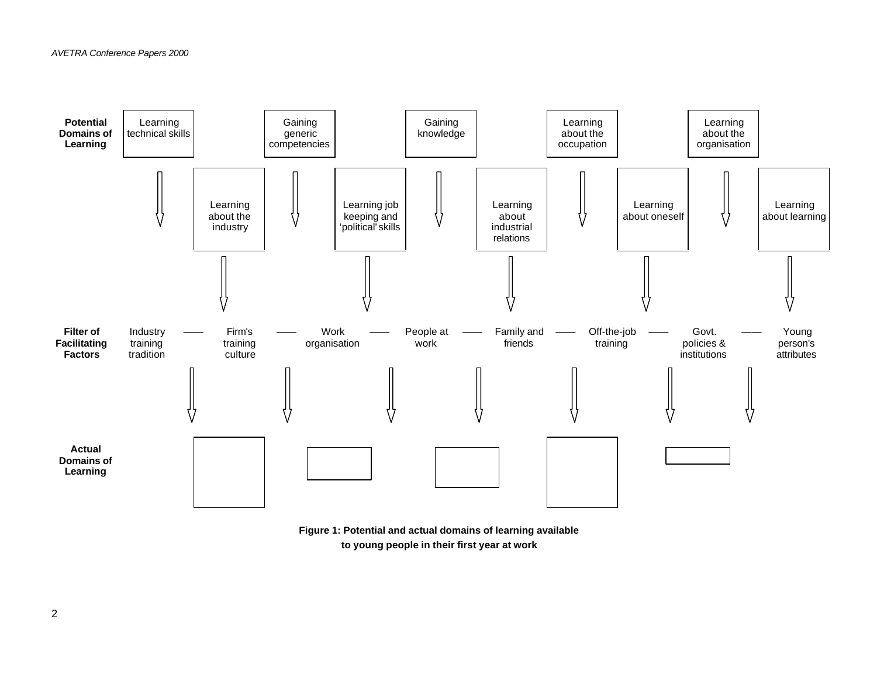

**Figure 1: Potential and actual domains of learning available to young people in their first year at work**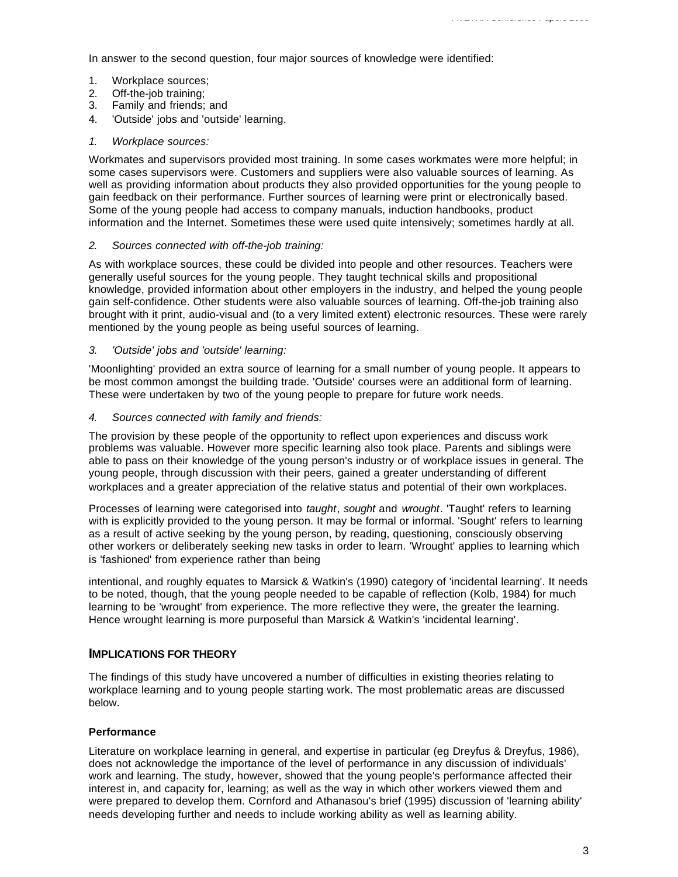In answer to the second question, four major sources of knowledge were identified:

- 1. Workplace sources;
- 2. Off-the-job training;
- 3. Family and friends; and
- 4. 'Outside' jobs and 'outside' learning.
- *1. Workplace sources:*

Workmates and supervisors provided most training. In some cases workmates were more helpful; in some cases supervisors were. Customers and suppliers were also valuable sources of learning. As well as providing information about products they also provided opportunities for the young people to gain feedback on their performance. Further sources of learning were print or electronically based. Some of the young people had access to company manuals, induction handbooks, product information and the Internet. Sometimes these were used quite intensively; sometimes hardly at all.

## *2. Sources connected with off-the-job training:*

As with workplace sources, these could be divided into people and other resources. Teachers were generally useful sources for the young people. They taught technical skills and propositional knowledge, provided information about other employers in the industry, and helped the young people gain self-confidence. Other students were also valuable sources of learning. Off-the-job training also brought with it print, audio-visual and (to a very limited extent) electronic resources. These were rarely mentioned by the young people as being useful sources of learning.

# *3. 'Outside' jobs and 'outside' learning:*

'Moonlighting' provided an extra source of learning for a small number of young people. It appears to be most common amongst the building trade. 'Outside' courses were an additional form of learning. These were undertaken by two of the young people to prepare for future work needs.

## *4. Sources connected with family and friends:*

The provision by these people of the opportunity to reflect upon experiences and discuss work problems was valuable. However more specific learning also took place. Parents and siblings were able to pass on their knowledge of the young person's industry or of workplace issues in general. The young people, through discussion with their peers, gained a greater understanding of different workplaces and a greater appreciation of the relative status and potential of their own workplaces.

Processes of learning were categorised into *taught*, *sought* and *wrought*. 'Taught' refers to learning with is explicitly provided to the young person. It may be formal or informal. 'Sought' refers to learning as a result of active seeking by the young person, by reading, questioning, consciously observing other workers or deliberately seeking new tasks in order to learn. 'Wrought' applies to learning which is 'fashioned' from experience rather than being

intentional, and roughly equates to Marsick & Watkin's (1990) category of 'incidental learning'. It needs to be noted, though, that the young people needed to be capable of reflection (Kolb, 1984) for much learning to be 'wrought' from experience. The more reflective they were, the greater the learning. Hence wrought learning is more purposeful than Marsick & Watkin's 'incidental learning'.

# **IMPLICATIONS FOR THEORY**

The findings of this study have uncovered a number of difficulties in existing theories relating to workplace learning and to young people starting work. The most problematic areas are discussed below.

# **Performance**

Literature on workplace learning in general, and expertise in particular (eg Dreyfus & Dreyfus, 1986), does not acknowledge the importance of the level of performance in any discussion of individuals' work and learning. The study, however, showed that the young people's performance affected their interest in, and capacity for, learning; as well as the way in which other workers viewed them and were prepared to develop them. Cornford and Athanasou's brief (1995) discussion of 'learning ability' needs developing further and needs to include working ability as well as learning ability.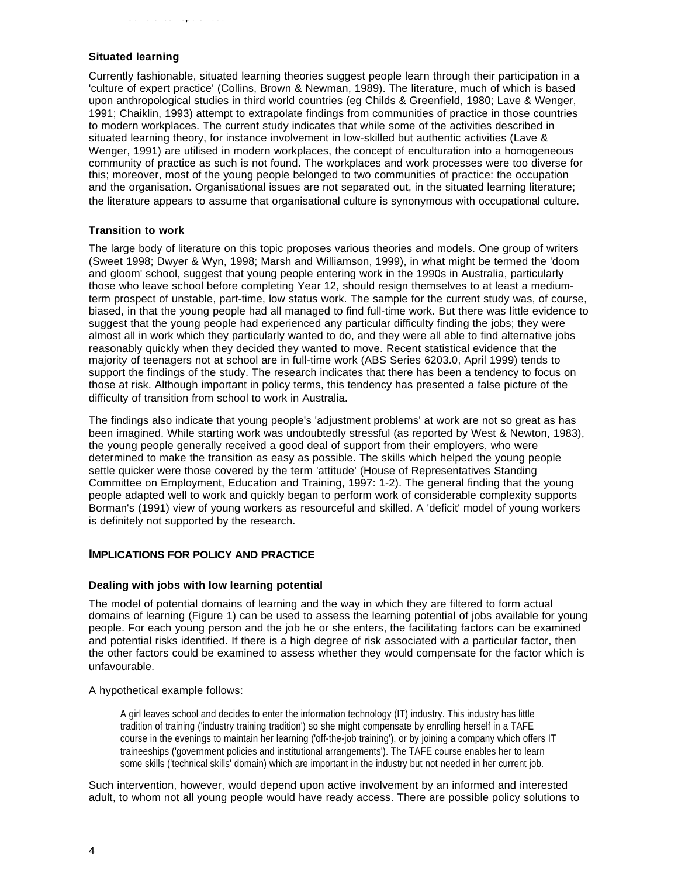#### **Situated learning**

Currently fashionable, situated learning theories suggest people learn through their participation in a 'culture of expert practice' (Collins, Brown & Newman, 1989). The literature, much of which is based upon anthropological studies in third world countries (eg Childs & Greenfield, 1980; Lave & Wenger, 1991; Chaiklin, 1993) attempt to extrapolate findings from communities of practice in those countries to modern workplaces. The current study indicates that while some of the activities described in situated learning theory, for instance involvement in low-skilled but authentic activities (Lave & Wenger, 1991) are utilised in modern workplaces, the concept of enculturation into a homogeneous community of practice as such is not found. The workplaces and work processes were too diverse for this; moreover, most of the young people belonged to two communities of practice: the occupation and the organisation. Organisational issues are not separated out, in the situated learning literature; the literature appears to assume that organisational culture is synonymous with occupational culture.

#### **Transition to work**

The large body of literature on this topic proposes various theories and models. One group of writers (Sweet 1998; Dwyer & Wyn, 1998; Marsh and Williamson, 1999), in what might be termed the 'doom and gloom' school, suggest that young people entering work in the 1990s in Australia, particularly those who leave school before completing Year 12, should resign themselves to at least a mediumterm prospect of unstable, part-time, low status work. The sample for the current study was, of course, biased, in that the young people had all managed to find full-time work. But there was little evidence to suggest that the young people had experienced any particular difficulty finding the jobs; they were almost all in work which they particularly wanted to do, and they were all able to find alternative jobs reasonably quickly when they decided they wanted to move. Recent statistical evidence that the majority of teenagers not at school are in full-time work (ABS Series 6203.0, April 1999) tends to support the findings of the study. The research indicates that there has been a tendency to focus on those at risk. Although important in policy terms, this tendency has presented a false picture of the difficulty of transition from school to work in Australia.

The findings also indicate that young people's 'adjustment problems' at work are not so great as has been imagined. While starting work was undoubtedly stressful (as reported by West & Newton, 1983), the young people generally received a good deal of support from their employers, who were determined to make the transition as easy as possible. The skills which helped the young people settle quicker were those covered by the term 'attitude' (House of Representatives Standing Committee on Employment, Education and Training, 1997: 1-2). The general finding that the young people adapted well to work and quickly began to perform work of considerable complexity supports Borman's (1991) view of young workers as resourceful and skilled. A 'deficit' model of young workers is definitely not supported by the research.

# **IMPLICATIONS FOR POLICY AND PRACTICE**

#### **Dealing with jobs with low learning potential**

The model of potential domains of learning and the way in which they are filtered to form actual domains of learning (Figure 1) can be used to assess the learning potential of jobs available for young people. For each young person and the job he or she enters, the facilitating factors can be examined and potential risks identified. If there is a high degree of risk associated with a particular factor, then the other factors could be examined to assess whether they would compensate for the factor which is unfavourable.

#### A hypothetical example follows:

A girl leaves school and decides to enter the information technology (IT) industry. This industry has little tradition of training ('industry training tradition') so she might compensate by enrolling herself in a TAFE course in the evenings to maintain her learning ('off-the-job training'), or by joining a company which offers IT traineeships ('government policies and institutional arrangements'). The TAFE course enables her to learn some skills ('technical skills' domain) which are important in the industry but not needed in her current job.

Such intervention, however, would depend upon active involvement by an informed and interested adult, to whom not all young people would have ready access. There are possible policy solutions to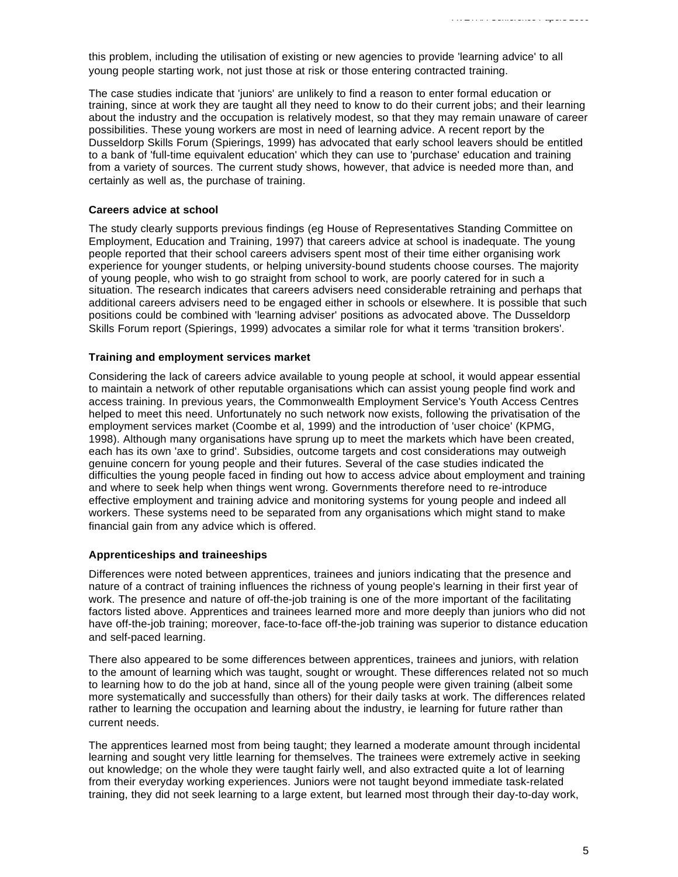this problem, including the utilisation of existing or new agencies to provide 'learning advice' to all young people starting work, not just those at risk or those entering contracted training.

The case studies indicate that 'juniors' are unlikely to find a reason to enter formal education or training, since at work they are taught all they need to know to do their current jobs; and their learning about the industry and the occupation is relatively modest, so that they may remain unaware of career possibilities. These young workers are most in need of learning advice. A recent report by the Dusseldorp Skills Forum (Spierings, 1999) has advocated that early school leavers should be entitled to a bank of 'full-time equivalent education' which they can use to 'purchase' education and training from a variety of sources. The current study shows, however, that advice is needed more than, and certainly as well as, the purchase of training.

#### **Careers advice at school**

The study clearly supports previous findings (eg House of Representatives Standing Committee on Employment, Education and Training, 1997) that careers advice at school is inadequate. The young people reported that their school careers advisers spent most of their time either organising work experience for younger students, or helping university-bound students choose courses. The majority of young people, who wish to go straight from school to work, are poorly catered for in such a situation. The research indicates that careers advisers need considerable retraining and perhaps that additional careers advisers need to be engaged either in schools or elsewhere. It is possible that such positions could be combined with 'learning adviser' positions as advocated above. The Dusseldorp Skills Forum report (Spierings, 1999) advocates a similar role for what it terms 'transition brokers'.

#### **Training and employment services market**

Considering the lack of careers advice available to young people at school, it would appear essential to maintain a network of other reputable organisations which can assist young people find work and access training. In previous years, the Commonwealth Employment Service's Youth Access Centres helped to meet this need. Unfortunately no such network now exists, following the privatisation of the employment services market (Coombe et al, 1999) and the introduction of 'user choice' (KPMG, 1998). Although many organisations have sprung up to meet the markets which have been created, each has its own 'axe to grind'. Subsidies, outcome targets and cost considerations may outweigh genuine concern for young people and their futures. Several of the case studies indicated the difficulties the young people faced in finding out how to access advice about employment and training and where to seek help when things went wrong. Governments therefore need to re-introduce effective employment and training advice and monitoring systems for young people and indeed all workers. These systems need to be separated from any organisations which might stand to make financial gain from any advice which is offered.

## **Apprenticeships and traineeships**

Differences were noted between apprentices, trainees and juniors indicating that the presence and nature of a contract of training influences the richness of young people's learning in their first year of work. The presence and nature of off-the-job training is one of the more important of the facilitating factors listed above. Apprentices and trainees learned more and more deeply than juniors who did not have off-the-job training; moreover, face-to-face off-the-job training was superior to distance education and self-paced learning.

There also appeared to be some differences between apprentices, trainees and juniors, with relation to the amount of learning which was taught, sought or wrought. These differences related not so much to learning how to do the job at hand, since all of the young people were given training (albeit some more systematically and successfully than others) for their daily tasks at work. The differences related rather to learning the occupation and learning about the industry, ie learning for future rather than current needs.

The apprentices learned most from being taught; they learned a moderate amount through incidental learning and sought very little learning for themselves. The trainees were extremely active in seeking out knowledge; on the whole they were taught fairly well, and also extracted quite a lot of learning from their everyday working experiences. Juniors were not taught beyond immediate task-related training, they did not seek learning to a large extent, but learned most through their day-to-day work,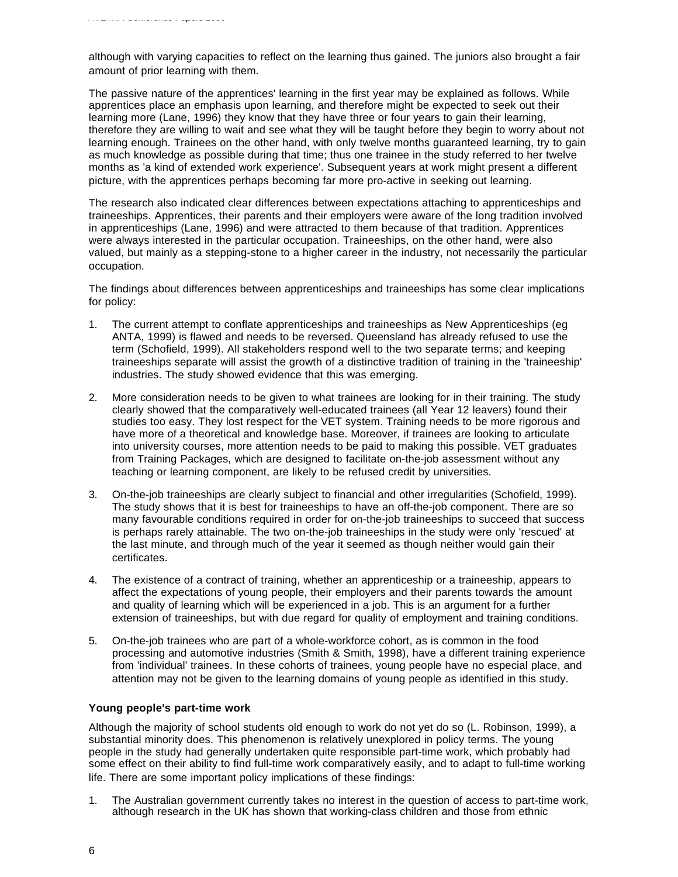although with varying capacities to reflect on the learning thus gained. The juniors also brought a fair amount of prior learning with them.

The passive nature of the apprentices' learning in the first year may be explained as follows. While apprentices place an emphasis upon learning, and therefore might be expected to seek out their learning more (Lane, 1996) they know that they have three or four years to gain their learning, therefore they are willing to wait and see what they will be taught before they begin to worry about not learning enough. Trainees on the other hand, with only twelve months guaranteed learning, try to gain as much knowledge as possible during that time; thus one trainee in the study referred to her twelve months as 'a kind of extended work experience'. Subsequent years at work might present a different picture, with the apprentices perhaps becoming far more pro-active in seeking out learning.

The research also indicated clear differences between expectations attaching to apprenticeships and traineeships. Apprentices, their parents and their employers were aware of the long tradition involved in apprenticeships (Lane, 1996) and were attracted to them because of that tradition. Apprentices were always interested in the particular occupation. Traineeships, on the other hand, were also valued, but mainly as a stepping-stone to a higher career in the industry, not necessarily the particular occupation.

The findings about differences between apprenticeships and traineeships has some clear implications for policy:

- 1. The current attempt to conflate apprenticeships and traineeships as New Apprenticeships (eg ANTA, 1999) is flawed and needs to be reversed. Queensland has already refused to use the term (Schofield, 1999). All stakeholders respond well to the two separate terms; and keeping traineeships separate will assist the growth of a distinctive tradition of training in the 'traineeship' industries. The study showed evidence that this was emerging.
- 2. More consideration needs to be given to what trainees are looking for in their training. The study clearly showed that the comparatively well-educated trainees (all Year 12 leavers) found their studies too easy. They lost respect for the VET system. Training needs to be more rigorous and have more of a theoretical and knowledge base. Moreover, if trainees are looking to articulate into university courses, more attention needs to be paid to making this possible. VET graduates from Training Packages, which are designed to facilitate on-the-job assessment without any teaching or learning component, are likely to be refused credit by universities.
- 3. On-the-job traineeships are clearly subject to financial and other irregularities (Schofield, 1999). The study shows that it is best for traineeships to have an off-the-job component. There are so many favourable conditions required in order for on-the-job traineeships to succeed that success is perhaps rarely attainable. The two on-the-job traineeships in the study were only 'rescued' at the last minute, and through much of the year it seemed as though neither would gain their certificates.
- 4. The existence of a contract of training, whether an apprenticeship or a traineeship, appears to affect the expectations of young people, their employers and their parents towards the amount and quality of learning which will be experienced in a job. This is an argument for a further extension of traineeships, but with due regard for quality of employment and training conditions.
- 5. On-the-job trainees who are part of a whole-workforce cohort, as is common in the food processing and automotive industries (Smith & Smith, 1998), have a different training experience from 'individual' trainees. In these cohorts of trainees, young people have no especial place, and attention may not be given to the learning domains of young people as identified in this study.

## **Young people's part-time work**

Although the majority of school students old enough to work do not yet do so (L. Robinson, 1999), a substantial minority does. This phenomenon is relatively unexplored in policy terms. The young people in the study had generally undertaken quite responsible part-time work, which probably had some effect on their ability to find full-time work comparatively easily, and to adapt to full-time working life. There are some important policy implications of these findings:

1. The Australian government currently takes no interest in the question of access to part-time work, although research in the UK has shown that working-class children and those from ethnic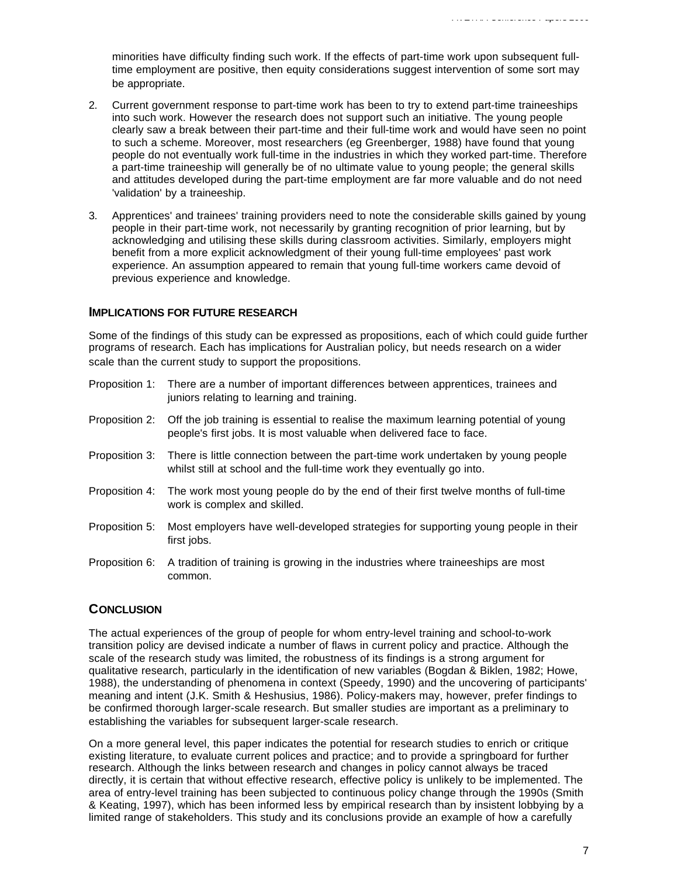minorities have difficulty finding such work. If the effects of part-time work upon subsequent fulltime employment are positive, then equity considerations suggest intervention of some sort may be appropriate.

- 2. Current government response to part-time work has been to try to extend part-time traineeships into such work. However the research does not support such an initiative. The young people clearly saw a break between their part-time and their full-time work and would have seen no point to such a scheme. Moreover, most researchers (eg Greenberger, 1988) have found that young people do not eventually work full-time in the industries in which they worked part-time. Therefore a part-time traineeship will generally be of no ultimate value to young people; the general skills and attitudes developed during the part-time employment are far more valuable and do not need 'validation' by a traineeship.
- 3. Apprentices' and trainees' training providers need to note the considerable skills gained by young people in their part-time work, not necessarily by granting recognition of prior learning, but by acknowledging and utilising these skills during classroom activities. Similarly, employers might benefit from a more explicit acknowledgment of their young full-time employees' past work experience. An assumption appeared to remain that young full-time workers came devoid of previous experience and knowledge.

#### **IMPLICATIONS FOR FUTURE RESEARCH**

Some of the findings of this study can be expressed as propositions, each of which could guide further programs of research. Each has implications for Australian policy, but needs research on a wider scale than the current study to support the propositions.

- Proposition 1: There are a number of important differences between apprentices, trainees and juniors relating to learning and training.
- Proposition 2: Off the job training is essential to realise the maximum learning potential of young people's first jobs. It is most valuable when delivered face to face.
- Proposition 3: There is little connection between the part-time work undertaken by young people whilst still at school and the full-time work they eventually go into.
- Proposition 4: The work most young people do by the end of their first twelve months of full-time work is complex and skilled.
- Proposition 5: Most employers have well-developed strategies for supporting young people in their first jobs.
- Proposition 6: A tradition of training is growing in the industries where traineeships are most common.

# **CONCLUSION**

The actual experiences of the group of people for whom entry-level training and school-to-work transition policy are devised indicate a number of flaws in current policy and practice. Although the scale of the research study was limited, the robustness of its findings is a strong argument for qualitative research, particularly in the identification of new variables (Bogdan & Biklen, 1982; Howe, 1988), the understanding of phenomena in context (Speedy, 1990) and the uncovering of participants' meaning and intent (J.K. Smith & Heshusius, 1986). Policy-makers may, however, prefer findings to be confirmed thorough larger-scale research. But smaller studies are important as a preliminary to establishing the variables for subsequent larger-scale research.

On a more general level, this paper indicates the potential for research studies to enrich or critique existing literature, to evaluate current polices and practice; and to provide a springboard for further research. Although the links between research and changes in policy cannot always be traced directly, it is certain that without effective research, effective policy is unlikely to be implemented. The area of entry-level training has been subjected to continuous policy change through the 1990s (Smith & Keating, 1997), which has been informed less by empirical research than by insistent lobbying by a limited range of stakeholders. This study and its conclusions provide an example of how a carefully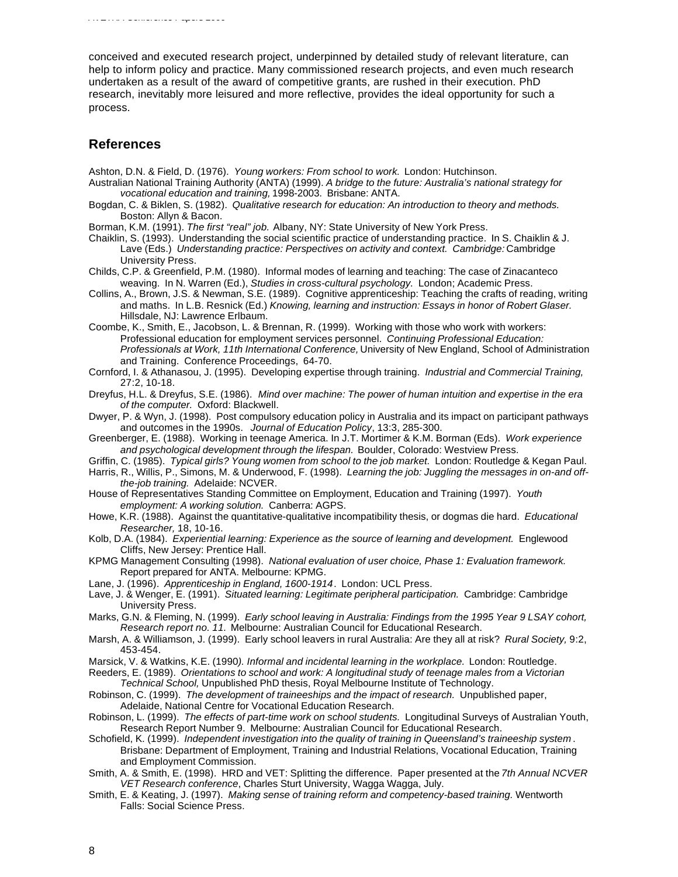conceived and executed research project, underpinned by detailed study of relevant literature, can help to inform policy and practice. Many commissioned research projects, and even much research undertaken as a result of the award of competitive grants, are rushed in their execution. PhD

research, inevitably more leisured and more reflective, provides the ideal opportunity for such a process.

# **References**

*AVETRA Conference Papers 2000*

Ashton, D.N. & Field, D. (1976). *Young workers: From school to work.* London: Hutchinson.

- Australian National Training Authority (ANTA) (1999). *A bridge to the future: Australia's national strategy for vocational education and training,* 1998-2003. Brisbane: ANTA.
- Bogdan, C. & Biklen, S. (1982). *Qualitative research for education: An introduction to theory and methods.* Boston: Allyn & Bacon.
- Borman, K.M. (1991). *The first "real" job.* Albany, NY: State University of New York Press.

Chaiklin, S. (1993). Understanding the social scientific practice of understanding practice. In S. Chaiklin & J. Lave (Eds.) *Understanding practice: Perspectives on activity and context. Cambridge:* Cambridge University Press.

- Childs, C.P. & Greenfield, P.M. (1980). Informal modes of learning and teaching: The case of Zinacanteco weaving. In N. Warren (Ed.), *Studies in cross-cultural psychology.* London; Academic Press.
- Collins, A., Brown, J.S. & Newman, S.E. (1989). Cognitive apprenticeship: Teaching the crafts of reading, writing and maths. In L.B. Resnick (Ed.) *Knowing, learning and instruction: Essays in honor of Robert Glaser.* Hillsdale, NJ: Lawrence Erlbaum.
- Coombe, K., Smith, E., Jacobson, L. & Brennan, R. (1999). Working with those who work with workers: Professional education for employment services personnel. *Continuing Professional Education: Professionals at Work, 11th International Conference,* University of New England, School of Administration and Training. Conference Proceedings, 64-70.
- Cornford, I. & Athanasou, J. (1995). Developing expertise through training. *Industrial and Commercial Training,* 27:2, 10-18.
- Dreyfus, H.L. & Dreyfus, S.E. (1986). *Mind over machine: The power of human intuition and expertise in the era of the computer.* Oxford: Blackwell.
- Dwyer, P. & Wyn, J. (1998). Post compulsory education policy in Australia and its impact on participant pathways and outcomes in the 1990s. *Journal of Education Policy*, 13:3, 285-300.
- Greenberger, E. (1988). Working in teenage America. In J.T. Mortimer & K.M. Borman (Eds). *Work experience and psychological development through the lifespan.* Boulder, Colorado: Westview Press.
- Griffin, C. (1985). *Typical girls? Young women from school to the job market.* London: Routledge & Kegan Paul.
- Harris, R., Willis, P., Simons, M. & Underwood, F. (1998). *Learning the job: Juggling the messages in on-and offthe-job training.* Adelaide: NCVER.
- House of Representatives Standing Committee on Employment, Education and Training (1997). *Youth employment: A working solution.* Canberra: AGPS.
- Howe, K.R. (1988). Against the quantitative-qualitative incompatibility thesis, or dogmas die hard. *Educational Researcher,* 18, 10-16.
- Kolb, D.A. (1984). *Experiential learning: Experience as the source of learning and development.* Englewood Cliffs, New Jersey: Prentice Hall.
- KPMG Management Consulting (1998). *National evaluation of user choice, Phase 1: Evaluation framework.* Report prepared for ANTA. Melbourne: KPMG.
- Lane, J. (1996). *Apprenticeship in England, 1600-1914*. London: UCL Press.
- Lave, J. & Wenger, E. (1991). *Situated learning: Legitimate peripheral participation.* Cambridge: Cambridge University Press.
- Marks, G.N. & Fleming, N. (1999). *Early school leaving in Australia: Findings from the 1995 Year 9 LSAY cohort, Research report no. 11.* Melbourne: Australian Council for Educational Research.
- Marsh, A. & Williamson, J. (1999). Early school leavers in rural Australia: Are they all at risk? *Rural Society,* 9:2, 453-454.
- Marsick, V. & Watkins, K.E. (1990*). Informal and incidental learning in the workplace.* London: Routledge.
- Reeders, E. (1989). *Orientations to school and work: A longitudinal study of teenage males from a Victorian Technical School,* Unpublished PhD thesis, Royal Melbourne Institute of Technology.
- Robinson, C. (1999). *The development of traineeships and the impact of research.* Unpublished paper, Adelaide, National Centre for Vocational Education Research.
- Robinson, L. (1999). *The effects of part-time work on school students.* Longitudinal Surveys of Australian Youth, Research Report Number 9. Melbourne: Australian Council for Educational Research.
- Schofield, K. (1999). *Independent investigation into the quality of training in Queensland's traineeship system* . Brisbane: Department of Employment, Training and Industrial Relations, Vocational Education, Training and Employment Commission.
- Smith, A. & Smith, E. (1998). HRD and VET: Splitting the difference. Paper presented at the *7th Annual NCVER VET Research conference*, Charles Sturt University, Wagga Wagga, July.
- Smith, E. & Keating, J. (1997). *Making sense of training reform and competency-based training.* Wentworth Falls: Social Science Press.